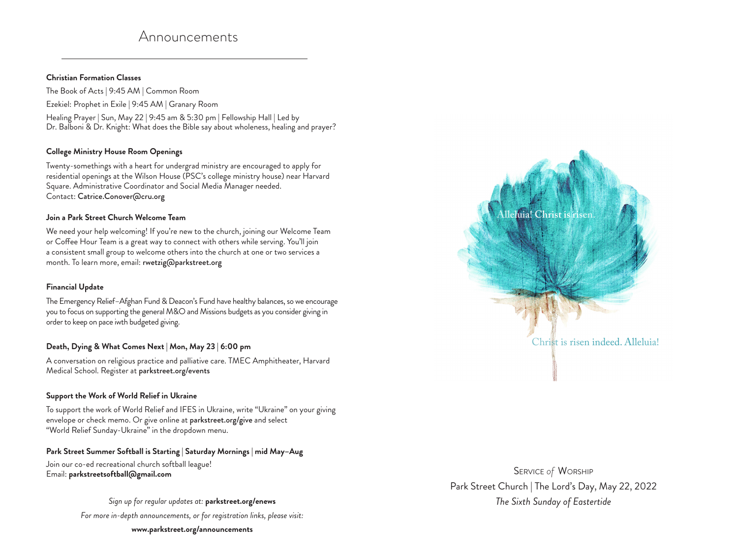# Announcements

#### **Christian Formation Classes**

The Book of Acts | 9:45 AM | Common Room Ezekiel: Prophet in Exile | 9:45 AM | Granary Room Healing Prayer | Sun, May 22 | 9:45 am & 5:30 pm | Fellowship Hall | Led by Dr. Balboni & Dr. Knight: What does the Bible say about wholeness, healing and prayer?

#### **College Ministry House Room Openings**

Twenty-somethings with a heart for undergrad ministry are encouraged to apply for residential openings at the Wilson House (PSC's college ministry house) near Harvard Square. Administrative Coordinator and Social Media Manager needed. Contact: Catrice.Conover@cru.org

#### **Join a Park Street Church Welcome Team**

We need your help welcoming! If you're new to the church, joining our Welcome Team or Coffee Hour Team is a great way to connect with others while serving. You'll join a consistent small group to welcome others into the church at one or two services a month. To learn more, email: rwetzig@parkstreet.org

## **Financial Update**

The Emergency Relief–Afghan Fund & Deacon's Fund have healthy balances, so we encourage you to focus on supporting the general M&O and Missions budgets as you consider giving in order to keep on pace iwth budgeted giving.

## **Death, Dying & What Comes Next | Mon, May 23 | 6:00 pm**

A conversation on religious practice and palliative care. TMEC Amphitheater, Harvard Medical School. Register at parkstreet.org/events

## **Support the Work of World Relief in Ukraine**

To support the work of World Relief and IFES in Ukraine, write "Ukraine" on your giving envelope or check memo. Or give online at parkstreet.org/give and select "World Relief Sunday-Ukraine" in the dropdown menu.

## **Park Street Summer Softball is Starting | Saturday Mornings | mid May–Aug**

Join our co-ed recreational church softball league! Email: **parkstreetsoftball@gmail.com** 

*Sign up for regular updates at:* **parkstreet.org/enews** 

*For more in-depth announcements, or for registration links, please visit:*

**www.parkstreet.org/announcements** 



Service *of* Worship Park Street Church | The Lord's Day, May 22, 2022 *The Sixth Sunday of Eastertide*